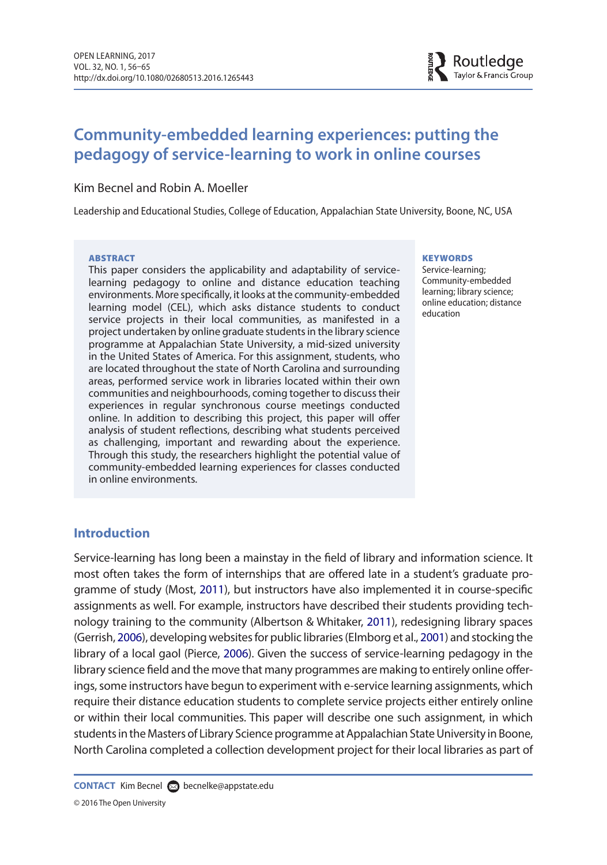# **Community-embedded learning experiences: putting the pedagogy of service-learning to work in online courses**

#### Kim Becnel and Robin A. Moeller

Leadership and Educational Studies, College of Education, Appalachian State University, Boone, NC, USA

#### **ABSTRACT**

This paper considers the applicability and adaptability of servicelearning pedagogy to online and distance education teaching environments. More specifically, it looks at the community-embedded learning model (CEL), which asks distance students to conduct service projects in their local communities, as manifested in a project undertaken by online graduate students in the library science programme at Appalachian State University, a mid-sized university in the United States of America. For this assignment, students, who are located throughout the state of North Carolina and surrounding areas, performed service work in libraries located within their own communities and neighbourhoods, coming together to discuss their experiences in regular synchronous course meetings conducted online. In addition to describing this project, this paper will offer analysis of student reflections, describing what students perceived as challenging, important and rewarding about the experience. Through this study, the researchers highlight the potential value of community-embedded learning experiences for classes conducted in online environments.

#### **KEYWORDS**

<span id="page-0-1"></span><span id="page-0-0"></span>Service-learning; Community-embedded learning; library science; online education; distance education

## **Introduction**

<span id="page-0-4"></span><span id="page-0-3"></span><span id="page-0-2"></span>Service-learning has long been a mainstay in the field of library and information science. It most often takes the form of internships that are offered late in a student's graduate programme of study (Most, [2011](#page-8-0)), but instructors have also implemented it in course-specific assignments as well. For example, instructors have described their students providing technology training to the community (Albertson & Whitaker, [2011](#page-8-1)), redesigning library spaces (Gerrish, [2006](#page-8-2)), developing websites for public libraries (Elmborg et al., [2001\)](#page-8-3) and stocking the library of a local gaol (Pierce, [2006\)](#page-8-4). Given the success of service-learning pedagogy in the library science field and the move that many programmes are making to entirely online offerings, some instructors have begun to experiment with e-service learning assignments, which require their distance education students to complete service projects either entirely online or within their local communities. This paper will describe one such assignment, in which students in the Masters of Library Science programme at Appalachian State University in Boone, North Carolina completed a collection development project for their local libraries as part of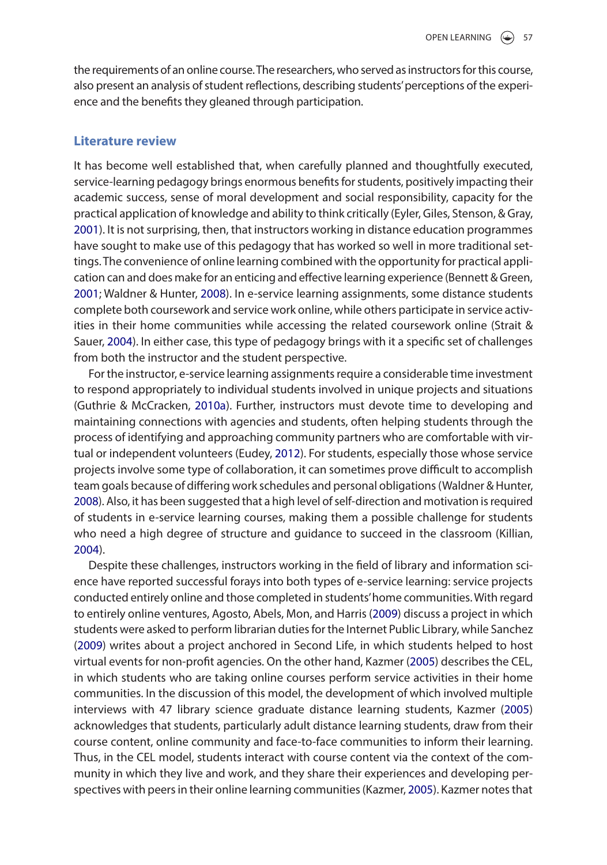the requirements of an online course. The researchers, who served as instructors for this course, also present an analysis of student reflections, describing students' perceptions of the experience and the benefits they gleaned through participation.

#### **Literature review**

<span id="page-1-3"></span>It has become well established that, when carefully planned and thoughtfully executed, service-learning pedagogy brings enormous benefits for students, positively impacting their academic success, sense of moral development and social responsibility, capacity for the practical application of knowledge and ability to think critically (Eyler, Giles, Stenson, & Gray, [2001\)](#page-8-5). It is not surprising, then, that instructors working in distance education programmes have sought to make use of this pedagogy that has worked so well in more traditional settings. The convenience of online learning combined with the opportunity for practical application can and does make for an enticing and effective learning experience (Bennett & Green, [2001;](#page-8-6) Waldner & Hunter, [2008\)](#page-9-0). In e-service learning assignments, some distance students complete both coursework and service work online, while others participate in service activities in their home communities while accessing the related coursework online (Strait & Sauer, [2004\)](#page-9-1). In either case, this type of pedagogy brings with it a specific set of challenges from both the instructor and the student perspective.

<span id="page-1-9"></span><span id="page-1-8"></span><span id="page-1-4"></span><span id="page-1-2"></span><span id="page-1-1"></span>For the instructor, e-service learning assignments require a considerable time investment to respond appropriately to individual students involved in unique projects and situations (Guthrie & McCracken, [2010a\)](#page-8-7). Further, instructors must devote time to developing and maintaining connections with agencies and students, often helping students through the process of identifying and approaching community partners who are comfortable with virtual or independent volunteers (Eudey, [2012](#page-8-8)). For students, especially those whose service projects involve some type of collaboration, it can sometimes prove difficult to accomplish team goals because of differing work schedules and personal obligations (Waldner & Hunter, [2008](#page-9-0)). Also, it has been suggested that a high level of self-direction and motivation is required of students in e-service learning courses, making them a possible challenge for students who need a high degree of structure and guidance to succeed in the classroom (Killian, [2004\)](#page-8-9).

<span id="page-1-7"></span><span id="page-1-6"></span><span id="page-1-5"></span><span id="page-1-0"></span>Despite these challenges, instructors working in the field of library and information science have reported successful forays into both types of e-service learning: service projects conducted entirely online and those completed in students' home communities. With regard to entirely online ventures, Agosto, Abels, Mon, and Harris ([2009](#page-8-10)) discuss a project in which students were asked to perform librarian duties for the Internet Public Library, while Sanchez ([2009](#page-8-11)) writes about a project anchored in Second Life, in which students helped to host virtual events for non-profit agencies. On the other hand, Kazmer [\(2005\)](#page-8-12) describes the CEL, in which students who are taking online courses perform service activities in their home communities. In the discussion of this model, the development of which involved multiple interviews with 47 library science graduate distance learning students, Kazmer ([2005](#page-8-12)) acknowledges that students, particularly adult distance learning students, draw from their course content, online community and face-to-face communities to inform their learning. Thus, in the CEL model, students interact with course content via the context of the community in which they live and work, and they share their experiences and developing perspectives with peers in their online learning communities (Kazmer, [2005](#page-8-12)). Kazmer notes that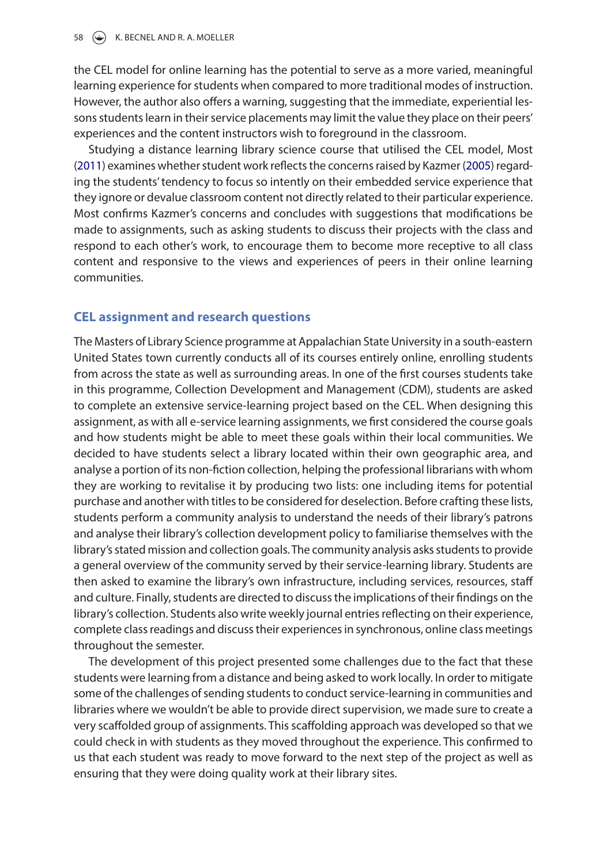58  $\leftrightarrow$  K. BECNEL AND R. A. MOELLER

the CEL model for online learning has the potential to serve as a more varied, meaningful learning experience for students when compared to more traditional modes of instruction. However, the author also offers a warning, suggesting that the immediate, experiential lessons students learn in their service placements may limit the value they place on their peers' experiences and the content instructors wish to foreground in the classroom.

Studying a distance learning library science course that utilised the CEL model, Most ([2011](#page-8-0)) examines whether student work reflects the concerns raised by Kazmer ([2005](#page-8-12)) regarding the students' tendency to focus so intently on their embedded service experience that they ignore or devalue classroom content not directly related to their particular experience. Most confirms Kazmer's concerns and concludes with suggestions that modifications be made to assignments, such as asking students to discuss their projects with the class and respond to each other's work, to encourage them to become more receptive to all class content and responsive to the views and experiences of peers in their online learning communities.

## **CEL assignment and research questions**

The Masters of Library Science programme at Appalachian State University in a south-eastern United States town currently conducts all of its courses entirely online, enrolling students from across the state as well as surrounding areas. In one of the first courses students take in this programme, Collection Development and Management (CDM), students are asked to complete an extensive service-learning project based on the CEL. When designing this assignment, as with all e-service learning assignments, we first considered the course goals and how students might be able to meet these goals within their local communities. We decided to have students select a library located within their own geographic area, and analyse a portion of its non-fiction collection, helping the professional librarians with whom they are working to revitalise it by producing two lists: one including items for potential purchase and another with titles to be considered for deselection. Before crafting these lists, students perform a community analysis to understand the needs of their library's patrons and analyse their library's collection development policy to familiarise themselves with the library's stated mission and collection goals. The community analysis asks students to provide a general overview of the community served by their service-learning library. Students are then asked to examine the library's own infrastructure, including services, resources, staff and culture. Finally, students are directed to discuss the implications of their findings on the library's collection. Students also write weekly journal entries reflecting on their experience, complete class readings and discuss their experiences in synchronous, online class meetings throughout the semester.

The development of this project presented some challenges due to the fact that these students were learning from a distance and being asked to work locally. In order to mitigate some of the challenges of sending students to conduct service-learning in communities and libraries where we wouldn't be able to provide direct supervision, we made sure to create a very scaffolded group of assignments. This scaffolding approach was developed so that we could check in with students as they moved throughout the experience. This confirmed to us that each student was ready to move forward to the next step of the project as well as ensuring that they were doing quality work at their library sites.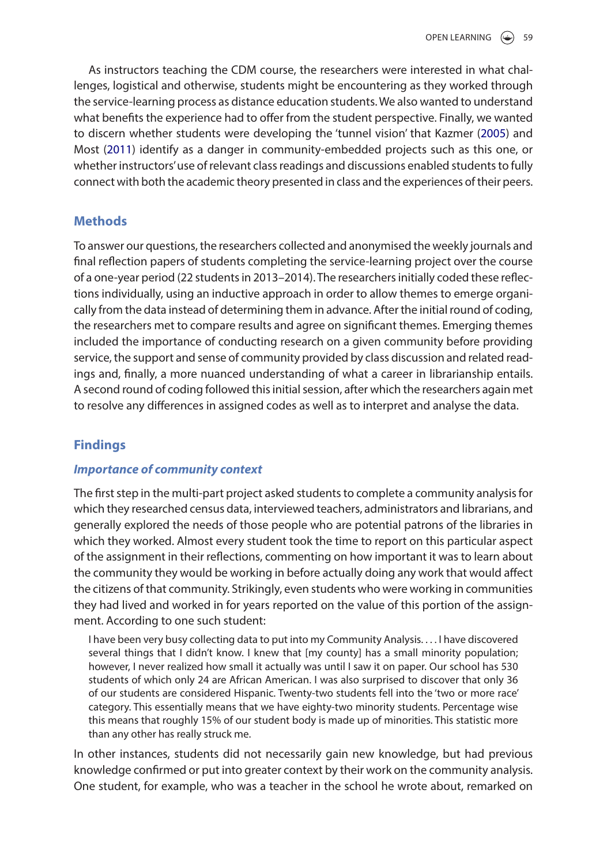As instructors teaching the CDM course, the researchers were interested in what challenges, logistical and otherwise, students might be encountering as they worked through the service-learning process as distance education students. We also wanted to understand what benefits the experience had to offer from the student perspective. Finally, we wanted to discern whether students were developing the 'tunnel vision' that Kazmer ([2005](#page-8-12)) and Most ([2011](#page-8-0)) identify as a danger in community-embedded projects such as this one, or whether instructors' use of relevant class readings and discussions enabled students to fully connect with both the academic theory presented in class and the experiences of their peers.

# **Methods**

To answer our questions, the researchers collected and anonymised the weekly journals and final reflection papers of students completing the service-learning project over the course of a one-year period (22 students in 2013–2014). The researchers initially coded these reflections individually, using an inductive approach in order to allow themes to emerge organically from the data instead of determining them in advance. After the initial round of coding, the researchers met to compare results and agree on significant themes. Emerging themes included the importance of conducting research on a given community before providing service, the support and sense of community provided by class discussion and related readings and, finally, a more nuanced understanding of what a career in librarianship entails. A second round of coding followed this initial session, after which the researchers again met to resolve any differences in assigned codes as well as to interpret and analyse the data.

# **Findings**

#### *Importance of community context*

The first step in the multi-part project asked students to complete a community analysis for which they researched census data, interviewed teachers, administrators and librarians, and generally explored the needs of those people who are potential patrons of the libraries in which they worked. Almost every student took the time to report on this particular aspect of the assignment in their reflections, commenting on how important it was to learn about the community they would be working in before actually doing any work that would affect the citizens of that community. Strikingly, even students who were working in communities they had lived and worked in for years reported on the value of this portion of the assignment. According to one such student:

I have been very busy collecting data to put into my Community Analysis. . . . I have discovered several things that I didn't know. I knew that [my county] has a small minority population; however, I never realized how small it actually was until I saw it on paper. Our school has 530 students of which only 24 are African American. I was also surprised to discover that only 36 of our students are considered Hispanic. Twenty-two students fell into the 'two or more race' category. This essentially means that we have eighty-two minority students. Percentage wise this means that roughly 15% of our student body is made up of minorities. This statistic more than any other has really struck me.

In other instances, students did not necessarily gain new knowledge, but had previous knowledge confirmed or put into greater context by their work on the community analysis. One student, for example, who was a teacher in the school he wrote about, remarked on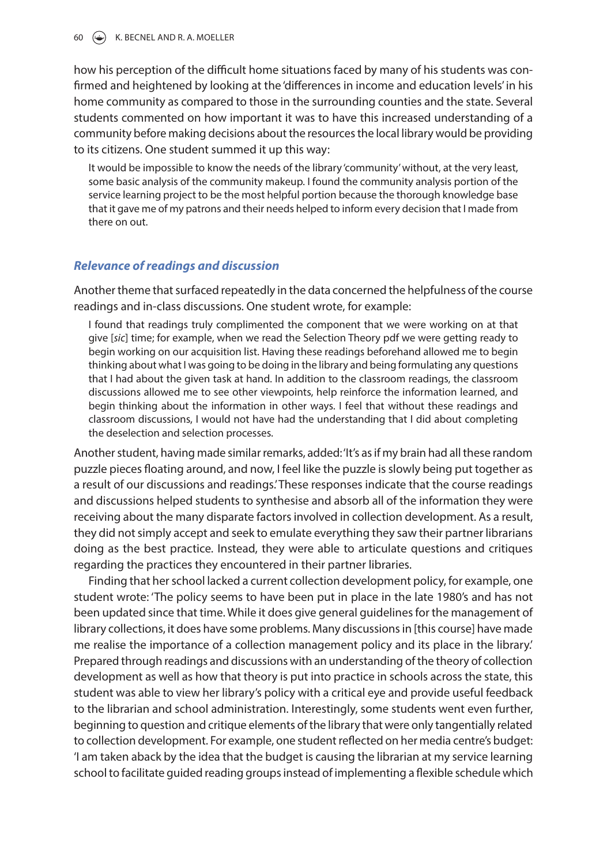how his perception of the difficult home situations faced by many of his students was confirmed and heightened by looking at the 'differences in income and education levels' in his home community as compared to those in the surrounding counties and the state. Several students commented on how important it was to have this increased understanding of a community before making decisions about the resources the local library would be providing to its citizens. One student summed it up this way:

It would be impossible to know the needs of the library 'community' without, at the very least, some basic analysis of the community makeup. I found the community analysis portion of the service learning project to be the most helpful portion because the thorough knowledge base that it gave me of my patrons and their needs helped to inform every decision that I made from there on out.

## *Relevance of readings and discussion*

Another theme that surfaced repeatedly in the data concerned the helpfulness of the course readings and in-class discussions. One student wrote, for example:

I found that readings truly complimented the component that we were working on at that give [*sic*] time; for example, when we read the Selection Theory pdf we were getting ready to begin working on our acquisition list. Having these readings beforehand allowed me to begin thinking about what I was going to be doing in the library and being formulating any questions that I had about the given task at hand. In addition to the classroom readings, the classroom discussions allowed me to see other viewpoints, help reinforce the information learned, and begin thinking about the information in other ways. I feel that without these readings and classroom discussions, I would not have had the understanding that I did about completing the deselection and selection processes.

Another student, having made similar remarks, added: 'It's as if my brain had all these random puzzle pieces floating around, and now, I feel like the puzzle is slowly being put together as a result of our discussions and readings.' These responses indicate that the course readings and discussions helped students to synthesise and absorb all of the information they were receiving about the many disparate factors involved in collection development. As a result, they did not simply accept and seek to emulate everything they saw their partner librarians doing as the best practice. Instead, they were able to articulate questions and critiques regarding the practices they encountered in their partner libraries.

Finding that her school lacked a current collection development policy, for example, one student wrote: 'The policy seems to have been put in place in the late 1980's and has not been updated since that time. While it does give general guidelines for the management of library collections, it does have some problems. Many discussions in [this course] have made me realise the importance of a collection management policy and its place in the library.' Prepared through readings and discussions with an understanding of the theory of collection development as well as how that theory is put into practice in schools across the state, this student was able to view her library's policy with a critical eye and provide useful feedback to the librarian and school administration. Interestingly, some students went even further, beginning to question and critique elements of the library that were only tangentially related to collection development. For example, one student reflected on her media centre's budget: 'I am taken aback by the idea that the budget is causing the librarian at my service learning school to facilitate guided reading groups instead of implementing a flexible schedule which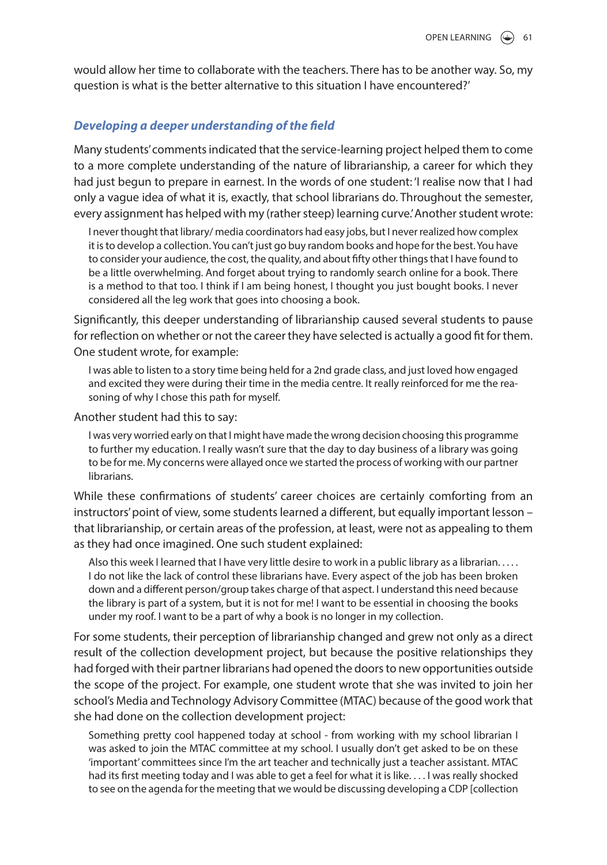would allow her time to collaborate with the teachers. There has to be another way. So, my question is what is the better alternative to this situation I have encountered?'

# *Developing a deeper understanding of the field*

Many students' comments indicated that the service-learning project helped them to come to a more complete understanding of the nature of librarianship, a career for which they had just begun to prepare in earnest. In the words of one student: 'I realise now that I had only a vague idea of what it is, exactly, that school librarians do. Throughout the semester, every assignment has helped with my (rather steep) learning curve.' Another student wrote:

I never thought that library/ media coordinators had easy jobs, but I never realized how complex it is to develop a collection. You can't just go buy random books and hope for the best. You have to consider your audience, the cost, the quality, and about fifty other things that I have found to be a little overwhelming. And forget about trying to randomly search online for a book. There is a method to that too. I think if I am being honest, I thought you just bought books. I never considered all the leg work that goes into choosing a book.

Significantly, this deeper understanding of librarianship caused several students to pause for reflection on whether or not the career they have selected is actually a good fit for them. One student wrote, for example:

I was able to listen to a story time being held for a 2nd grade class, and just loved how engaged and excited they were during their time in the media centre. It really reinforced for me the reasoning of why I chose this path for myself.

Another student had this to say:

I was very worried early on that I might have made the wrong decision choosing this programme to further my education. I really wasn't sure that the day to day business of a library was going to be for me. My concerns were allayed once we started the process of working with our partner librarians.

While these confirmations of students' career choices are certainly comforting from an instructors' point of view, some students learned a different, but equally important lesson – that librarianship, or certain areas of the profession, at least, were not as appealing to them as they had once imagined. One such student explained:

Also this week I learned that I have very little desire to work in a public library as a librarian. . . . . I do not like the lack of control these librarians have. Every aspect of the job has been broken down and a different person/group takes charge of that aspect. I understand this need because the library is part of a system, but it is not for me! I want to be essential in choosing the books under my roof. I want to be a part of why a book is no longer in my collection.

For some students, their perception of librarianship changed and grew not only as a direct result of the collection development project, but because the positive relationships they had forged with their partner librarians had opened the doors to new opportunities outside the scope of the project. For example, one student wrote that she was invited to join her school's Media and Technology Advisory Committee (MTAC) because of the good work that she had done on the collection development project:

Something pretty cool happened today at school - from working with my school librarian I was asked to join the MTAC committee at my school. I usually don't get asked to be on these 'important' committees since I'm the art teacher and technically just a teacher assistant. MTAC had its first meeting today and I was able to get a feel for what it is like. . . . I was really shocked to see on the agenda for the meeting that we would be discussing developing a CDP [collection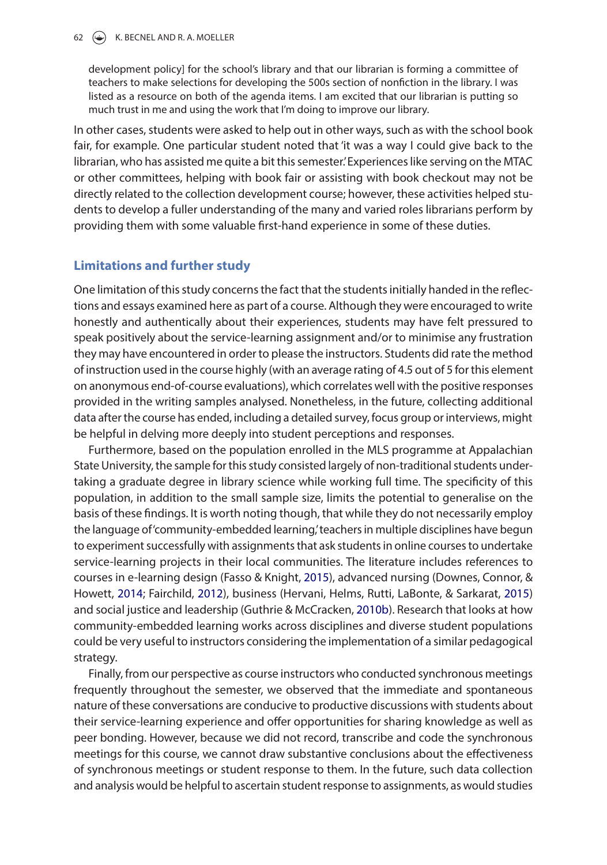#### 62 K. BECNEL AND R. A. MOELLER

development policy] for the school's library and that our librarian is forming a committee of teachers to make selections for developing the 500s section of nonfiction in the library. I was listed as a resource on both of the agenda items. I am excited that our librarian is putting so much trust in me and using the work that I'm doing to improve our library.

In other cases, students were asked to help out in other ways, such as with the school book fair, for example. One particular student noted that 'it was a way I could give back to the librarian, who has assisted me quite a bit this semester.' Experiences like serving on the MTAC or other committees, helping with book fair or assisting with book checkout may not be directly related to the collection development course; however, these activities helped students to develop a fuller understanding of the many and varied roles librarians perform by providing them with some valuable first-hand experience in some of these duties.

## **Limitations and further study**

One limitation of this study concerns the fact that the students initially handed in the reflections and essays examined here as part of a course. Although they were encouraged to write honestly and authentically about their experiences, students may have felt pressured to speak positively about the service-learning assignment and/or to minimise any frustration they may have encountered in order to please the instructors. Students did rate the method of instruction used in the course highly (with an average rating of 4.5 out of 5 for this element on anonymous end-of-course evaluations), which correlates well with the positive responses provided in the writing samples analysed. Nonetheless, in the future, collecting additional data after the course has ended, including a detailed survey, focus group or interviews, might be helpful in delving more deeply into student perceptions and responses.

Furthermore, based on the population enrolled in the MLS programme at Appalachian State University, the sample for this study consisted largely of non-traditional students undertaking a graduate degree in library science while working full time. The specificity of this population, in addition to the small sample size, limits the potential to generalise on the basis of these findings. It is worth noting though, that while they do not necessarily employ the language of 'community-embedded learning,' teachers in multiple disciplines have begun to experiment successfully with assignments that ask students in online courses to undertake service-learning projects in their local communities. The literature includes references to courses in e-learning design (Fasso & Knight, [2015\)](#page-8-13), advanced nursing (Downes, Connor, & Howett, [2014](#page-8-14); Fairchild, [2012](#page-8-15)), business (Hervani, Helms, Rutti, LaBonte, & Sarkarat, [2015](#page-8-16)) and social justice and leadership (Guthrie & McCracken, [2010b](#page-8-17)). Research that looks at how community-embedded learning works across disciplines and diverse student populations could be very useful to instructors considering the implementation of a similar pedagogical strategy.

<span id="page-6-4"></span><span id="page-6-3"></span><span id="page-6-2"></span><span id="page-6-1"></span><span id="page-6-0"></span>Finally, from our perspective as course instructors who conducted synchronous meetings frequently throughout the semester, we observed that the immediate and spontaneous nature of these conversations are conducive to productive discussions with students about their service-learning experience and offer opportunities for sharing knowledge as well as peer bonding. However, because we did not record, transcribe and code the synchronous meetings for this course, we cannot draw substantive conclusions about the effectiveness of synchronous meetings or student response to them. In the future, such data collection and analysis would be helpful to ascertain student response to assignments, as would studies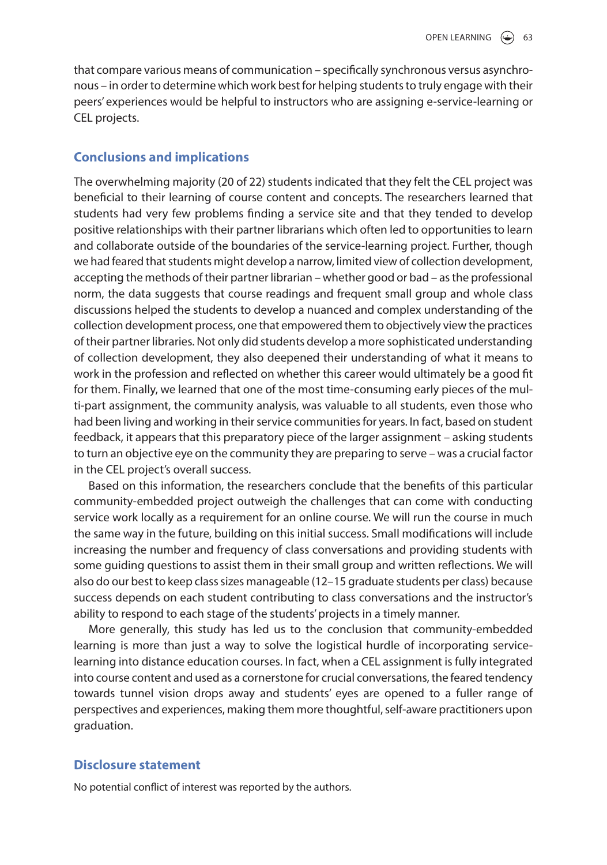that compare various means of communication – specifically synchronous versus asynchronous – in order to determine which work best for helping students to truly engage with their peers' experiences would be helpful to instructors who are assigning e-service-learning or CEL projects.

## **Conclusions and implications**

The overwhelming majority (20 of 22) students indicated that they felt the CEL project was beneficial to their learning of course content and concepts. The researchers learned that students had very few problems finding a service site and that they tended to develop positive relationships with their partner librarians which often led to opportunities to learn and collaborate outside of the boundaries of the service-learning project. Further, though we had feared that students might develop a narrow, limited view of collection development, accepting the methods of their partner librarian – whether good or bad – as the professional norm, the data suggests that course readings and frequent small group and whole class discussions helped the students to develop a nuanced and complex understanding of the collection development process, one that empowered them to objectively view the practices of their partner libraries. Not only did students develop a more sophisticated understanding of collection development, they also deepened their understanding of what it means to work in the profession and reflected on whether this career would ultimately be a good fit for them. Finally, we learned that one of the most time-consuming early pieces of the multi-part assignment, the community analysis, was valuable to all students, even those who had been living and working in their service communities for years. In fact, based on student feedback, it appears that this preparatory piece of the larger assignment – asking students to turn an objective eye on the community they are preparing to serve – was a crucial factor in the CEL project's overall success.

Based on this information, the researchers conclude that the benefits of this particular community-embedded project outweigh the challenges that can come with conducting service work locally as a requirement for an online course. We will run the course in much the same way in the future, building on this initial success. Small modifications will include increasing the number and frequency of class conversations and providing students with some guiding questions to assist them in their small group and written reflections. We will also do our best to keep class sizes manageable (12–15 graduate students per class) because success depends on each student contributing to class conversations and the instructor's ability to respond to each stage of the students' projects in a timely manner.

More generally, this study has led us to the conclusion that community-embedded learning is more than just a way to solve the logistical hurdle of incorporating servicelearning into distance education courses. In fact, when a CEL assignment is fully integrated into course content and used as a cornerstone for crucial conversations, the feared tendency towards tunnel vision drops away and students' eyes are opened to a fuller range of perspectives and experiences, making them more thoughtful, self-aware practitioners upon graduation.

## **Disclosure statement**

No potential conflict of interest was reported by the authors.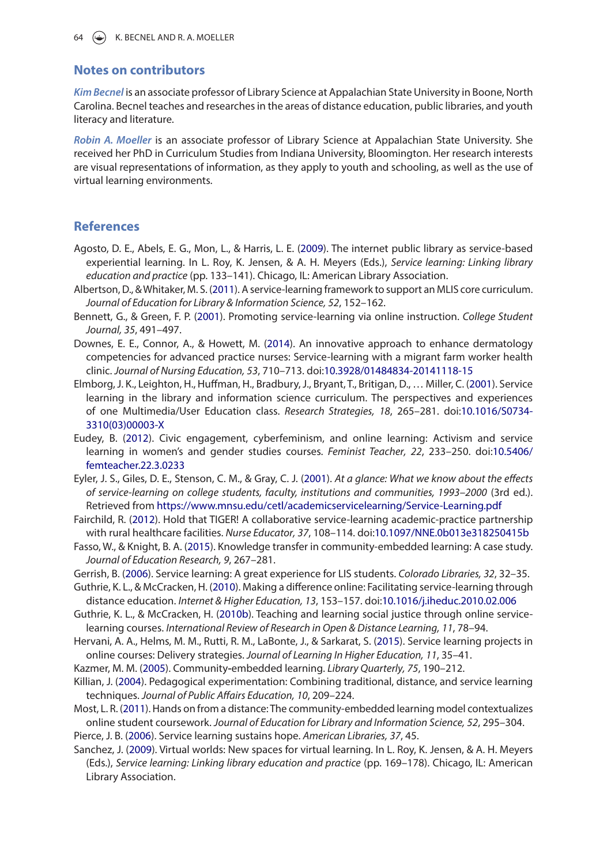#### **Notes on contributors**

*Kim Becnel* is an associate professor of Library Science at Appalachian State University in Boone, North Carolina. Becnel teaches and researches in the areas of distance education, public libraries, and youth literacy and literature.

*Robin A. Moeller* is an associate professor of Library Science at Appalachian State University. She received her PhD in Curriculum Studies from Indiana University, Bloomington. Her research interests are visual representations of information, as they apply to youth and schooling, as well as the use of virtual learning environments.

## **References**

- <span id="page-8-10"></span>Agosto, D. E., Abels, E. G., Mon, L., & Harris, L. E. [\(2009\)](#page-1-0). The internet public library as service-based experiential learning. In L. Roy, K. Jensen, & A. H. Meyers (Eds.), *Service learning: Linking library education and practice* (pp. 133–141). Chicago, IL: American Library Association.
- <span id="page-8-1"></span>Albertson, D., & Whitaker, M. S. ([2011\)](#page-0-0). A service-learning framework to support an MLIS core curriculum. *Journal of Education for Library & Information Science, 52*, 152–162.
- <span id="page-8-6"></span>Bennett, G., & Green, F. P. [\(2001\)](#page-1-1). Promoting service-learning via online instruction. *College Student Journal, 35*, 491–497.
- <span id="page-8-14"></span>Downes, E. E., Connor, A., & Howett, M. [\(2014\)](#page-6-0). An innovative approach to enhance dermatology competencies for advanced practice nurses: Service-learning with a migrant farm worker health clinic. *Journal of Nursing Education, 53*, 710–713. doi[:10.3928/01484834-20141118-15](http://dx.doi.org/10.3928/01484834-20141118-15)
- <span id="page-8-3"></span>Elmborg, J. K., Leighton, H., Huffman, H., Bradbury, J., Bryant, T., Britigan, D., … Miller, C. ([2001](#page-0-1)). Service learning in the library and information science curriculum. The perspectives and experiences of one Multimedia/User Education class. *Research Strategies, 18*, 265–281. doi:[10.1016/S0734-](http://dx.doi.org/10.1016/S0734-3310(03)00003-X) [3310\(03\)00003-X](http://dx.doi.org/10.1016/S0734-3310(03)00003-X)
- <span id="page-8-8"></span>Eudey, B. [\(2012\)](#page-1-2). Civic engagement, cyberfeminism, and online learning: Activism and service learning in women's and gender studies courses. *Feminist Teacher, 22*, 233–250. doi:[10.5406/](http://dx.doi.org/10.5406/femteacher.22.3.0233) [femteacher.22.3.0233](http://dx.doi.org/10.5406/femteacher.22.3.0233)
- <span id="page-8-5"></span>Eyler, J. S., Giles, D. E., Stenson, C. M., & Gray, C. J. [\(2001\)](#page-1-3). *At a glance: What we know about the effects of service-learning on college students, faculty, institutions and communities, 1993–2000* (3rd ed.). Retrieved from <https://www.mnsu.edu/cetl/academicservicelearning/Service-Learning.pdf>
- <span id="page-8-15"></span>Fairchild, R. [\(2012\)](#page-6-1). Hold that TIGER! A collaborative service-learning academic-practice partnership with rural healthcare facilities. *Nurse Educator, 37*, 108–114. doi:[10.1097/NNE.0b013e318250415b](http://dx.doi.org/10.1097/NNE.0b013e318250415b)
- <span id="page-8-13"></span>Fasso, W., & Knight, B. A. [\(2015\)](#page-6-2). Knowledge transfer in community-embedded learning: A case study. *Journal of Education Research, 9*, 267–281.
- <span id="page-8-2"></span>Gerrish, B. ([2006](#page-0-2)). Service learning: A great experience for LIS students. *Colorado Libraries, 32*, 32–35.
- <span id="page-8-7"></span>Guthrie, K. L., & McCracken, H. ([2010](#page-1-4)). Making a difference online: Facilitating service-learning through distance education. *Internet & Higher Education, 13*, 153–157. doi:[10.1016/j.iheduc.2010.02.006](http://dx.doi.org/10.1016/j.iheduc.2010.02.006)
- <span id="page-8-17"></span>Guthrie, K. L., & McCracken, H. [\(2010b\)](#page-6-3). Teaching and learning social justice through online servicelearning courses. *International Review of Research in Open & Distance Learning, 11*, 78–94.
- <span id="page-8-16"></span>Hervani, A. A., Helms, M. M., Rutti, R. M., LaBonte, J., & Sarkarat, S. [\(2015\)](#page-6-4). Service learning projects in online courses: Delivery strategies. *Journal of Learning In Higher Education, 11*, 35–41.
- <span id="page-8-12"></span>Kazmer, M. M. [\(2005](#page-1-5)). Community-embedded learning. Library Quarterly, 75, 190-212.
- <span id="page-8-9"></span>Killian, J. [\(2004\)](#page-1-6). Pedagogical experimentation: Combining traditional, distance, and service learning techniques. *Journal of Public Affairs Education, 10*, 209–224.
- <span id="page-8-0"></span>Most, L. R. ([2011](#page-0-3)). Hands on from a distance: The community-embedded learning model contextualizes online student coursework. *Journal of Education for Library and Information Science, 52*, 295–304. Pierce, J. B. [\(2006\)](#page-0-4). Service learning sustains hope. *American Libraries, 37*, 45.
- <span id="page-8-11"></span><span id="page-8-4"></span>Sanchez, J. ([2009](#page-1-7)). Virtual worlds: New spaces for virtual learning. In L. Roy, K. Jensen, & A. H. Meyers (Eds.), *Service learning: Linking library education and practice* (pp. 169–178). Chicago, IL: American Library Association.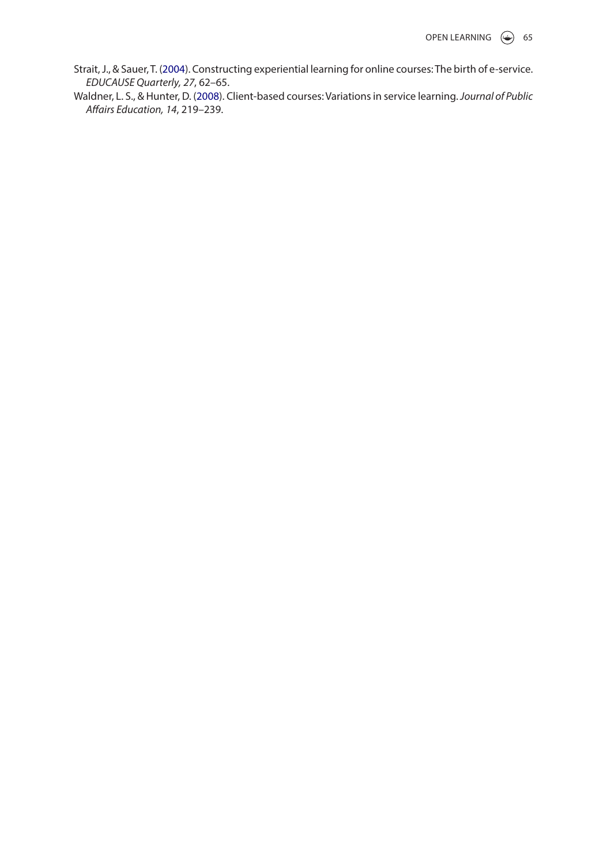<span id="page-9-1"></span>Strait, J., & Sauer, T. [\(2004](#page-1-8)). Constructing experiential learning for online courses: The birth of e-service. *EDUCAUSE Quarterly, 27*, 62–65.

<span id="page-9-0"></span>Waldner, L. S., & Hunter, D. ([2008](#page-1-9)). Client-based courses: Variations in service learning. *Journal of Public Affairs Education, 14*, 219–239.